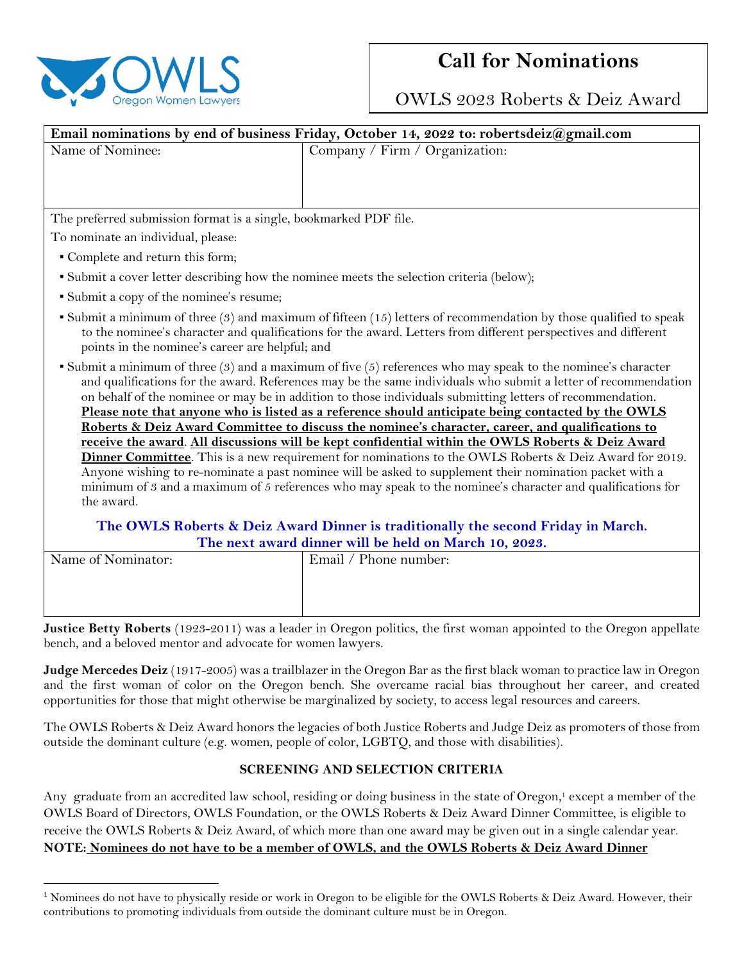

## **Call for Nominations**

OWLS 2023 Roberts & Deiz Award

| Email nominations by end of business Friday, October 14, 2022 to: robertsdeiz@gmail.com                                                                                                                                                                                                                                                                                                                                                                                                                                                                    |                                                                 |
|------------------------------------------------------------------------------------------------------------------------------------------------------------------------------------------------------------------------------------------------------------------------------------------------------------------------------------------------------------------------------------------------------------------------------------------------------------------------------------------------------------------------------------------------------------|-----------------------------------------------------------------|
| Name of Nominee:                                                                                                                                                                                                                                                                                                                                                                                                                                                                                                                                           | Company / Firm / Organization:                                  |
|                                                                                                                                                                                                                                                                                                                                                                                                                                                                                                                                                            |                                                                 |
|                                                                                                                                                                                                                                                                                                                                                                                                                                                                                                                                                            |                                                                 |
|                                                                                                                                                                                                                                                                                                                                                                                                                                                                                                                                                            |                                                                 |
| The preferred submission format is a single, bookmarked PDF file.                                                                                                                                                                                                                                                                                                                                                                                                                                                                                          |                                                                 |
| To nominate an individual, please:                                                                                                                                                                                                                                                                                                                                                                                                                                                                                                                         |                                                                 |
| • Complete and return this form;                                                                                                                                                                                                                                                                                                                                                                                                                                                                                                                           |                                                                 |
| • Submit a cover letter describing how the nominee meets the selection criteria (below);                                                                                                                                                                                                                                                                                                                                                                                                                                                                   |                                                                 |
| • Submit a copy of the nominee's resume;                                                                                                                                                                                                                                                                                                                                                                                                                                                                                                                   |                                                                 |
| $\bullet$ Submit a minimum of three (3) and maximum of fifteen (15) letters of recommendation by those qualified to speak<br>to the nominee's character and qualifications for the award. Letters from different perspectives and different<br>points in the nominee's career are helpful; and                                                                                                                                                                                                                                                             |                                                                 |
| • Submit a minimum of three $(3)$ and a maximum of five $(5)$ references who may speak to the nominee's character<br>and qualifications for the award. References may be the same individuals who submit a letter of recommendation<br>on behalf of the nominee or may be in addition to those individuals submitting letters of recommendation.<br>Please note that anyone who is listed as a reference should anticipate being contacted by the OWLS<br>Roberts & Deiz Award Committee to discuss the nominee's character, career, and qualifications to |                                                                 |
| receive the award. All discussions will be kept confidential within the OWLS Roberts & Deiz Award<br>Dinner Committee. This is a new requirement for nominations to the OWLS Roberts & Deiz Award for 2019.<br>Anyone wishing to re-nominate a past nominee will be asked to supplement their nomination packet with a<br>minimum of 3 and a maximum of 5 references who may speak to the nominee's character and qualifications for<br>the award.                                                                                                         |                                                                 |
| The OWLS Roberts & Deiz Award Dinner is traditionally the second Friday in March.                                                                                                                                                                                                                                                                                                                                                                                                                                                                          |                                                                 |
| The next award dinner will be held on March 10, 2023.                                                                                                                                                                                                                                                                                                                                                                                                                                                                                                      |                                                                 |
| Name of Nominator:                                                                                                                                                                                                                                                                                                                                                                                                                                                                                                                                         | Email / Phone number:                                           |
|                                                                                                                                                                                                                                                                                                                                                                                                                                                                                                                                                            |                                                                 |
|                                                                                                                                                                                                                                                                                                                                                                                                                                                                                                                                                            |                                                                 |
| $\mathbf{n}$ is $\mathbf{n}$ to $\mathbf{n}$ is $\mathbf{n}$ and $\mathbf{n}$ and $\mathbf{n}$ is $\mathbf{n}$ if $\mathbf{n}$ is $\mathbf{n}$                                                                                                                                                                                                                                                                                                                                                                                                             | $\cdot$ $\cdot$ $\cdot$ $\cdot$ $\cdot$ $\cdot$ $\cdot$ $\cdot$ |

**Justice Betty Roberts** (1923-2011) was a leader in Oregon politics, the first woman appointed to the Oregon appellate bench, and a beloved mentor and advocate for women lawyers.

**Judge Mercedes Deiz** (1917-2005) was a trailblazer in the Oregon Bar as the first black woman to practice law in Oregon and the first woman of color on the Oregon bench. She overcame racial bias throughout her career, and created opportunities for those that might otherwise be marginalized by society, to access legal resources and careers.

The OWLS Roberts & Deiz Award honors the legacies of both Justice Roberts and Judge Deiz as promoters of those from outside the dominant culture (e.g. women, people of color, LGBTQ, and those with disabilities).

## **SCREENING AND SELECTION CRITERIA**

Any graduate from an accredited law school, residing or doing business in the state of Oregon, <sup>1</sup> except a member of the OWLS Board of Directors, OWLS Foundation, or the OWLS Roberts & Deiz Award Dinner Committee, is eligible to receive the OWLS Roberts & Deiz Award, of which more than one award may be given out in a single calendar year. **NOTE: Nominees do not have to be a member of OWLS, and the OWLS Roberts & Deiz Award Dinner** 

<sup>1</sup> Nominees do not have to physically reside or work in Oregon to be eligible for the OWLS Roberts & Deiz Award. However, their contributions to promoting individuals from outside the dominant culture must be in Oregon.